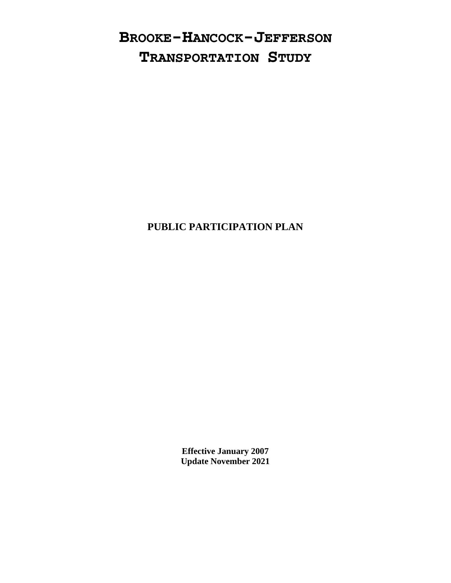# **BROOKE-HANCOCK-JEFFERSON TRANSPORTATION STUDY**

## **PUBLIC PARTICIPATION PLAN**

**Effective January 2007 Update November 2021**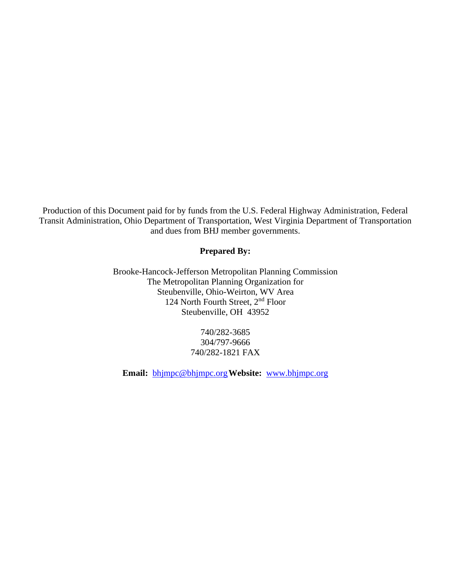Production of this Document paid for by funds from the U.S. Federal Highway Administration, Federal Transit Administration, Ohio Department of Transportation, West Virginia Department of Transportation and dues from BHJ member governments.

#### **Prepared By:**

Brooke-Hancock-Jefferson Metropolitan Planning Commission The Metropolitan Planning Organization for Steubenville, Ohio-Weirton, WV Area 124 North Fourth Street, 2nd Floor Steubenville, OH 43952

> 740/282-3685 304/797-9666 740/282-1821 FAX

**Email:** [bhjmpc@bhjmpc.org](mailto:bhjmpc@bhjmpc.org)**Website:** [www.bhjmpc.org](http://www.bhjmpc.org/)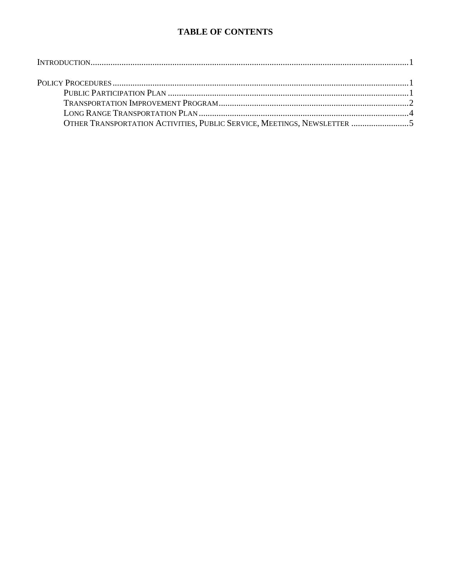### **TABLE OF CONTENTS**

| OTHER TRANSPORTATION ACTIVITIES, PUBLIC SERVICE, MEETINGS, NEWSLETTER 5 |  |
|-------------------------------------------------------------------------|--|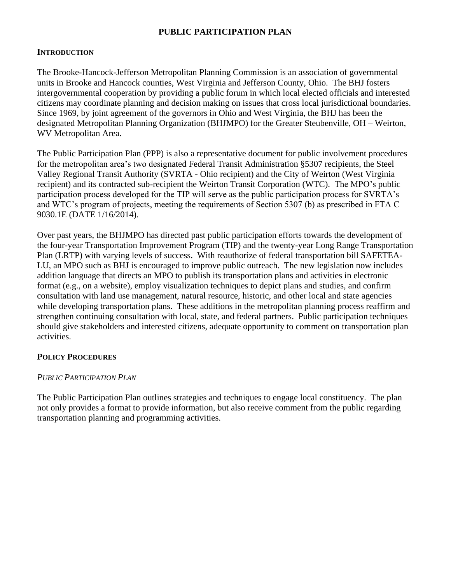#### **PUBLIC PARTICIPATION PLAN**

#### **INTRODUCTION**

The Brooke-Hancock-Jefferson Metropolitan Planning Commission is an association of governmental units in Brooke and Hancock counties, West Virginia and Jefferson County, Ohio. The BHJ fosters intergovernmental cooperation by providing a public forum in which local elected officials and interested citizens may coordinate planning and decision making on issues that cross local jurisdictional boundaries. Since 1969, by joint agreement of the governors in Ohio and West Virginia, the BHJ has been the designated Metropolitan Planning Organization (BHJMPO) for the Greater Steubenville, OH – Weirton, WV Metropolitan Area.

The Public Participation Plan (PPP) is also a representative document for public involvement procedures for the metropolitan area's two designated Federal Transit Administration §5307 recipients, the Steel Valley Regional Transit Authority (SVRTA - Ohio recipient) and the City of Weirton (West Virginia recipient) and its contracted sub-recipient the Weirton Transit Corporation (WTC). The MPO's public participation process developed for the TIP will serve as the public participation process for SVRTA's and WTC's program of projects, meeting the requirements of Section 5307 (b) as prescribed in FTA C 9030.1E (DATE 1/16/2014).

Over past years, the BHJMPO has directed past public participation efforts towards the development of the four-year Transportation Improvement Program (TIP) and the twenty-year Long Range Transportation Plan (LRTP) with varying levels of success. With reauthorize of federal transportation bill SAFETEA-LU, an MPO such as BHJ is encouraged to improve public outreach. The new legislation now includes addition language that directs an MPO to publish its transportation plans and activities in electronic format (e.g., on a website), employ visualization techniques to depict plans and studies, and confirm consultation with land use management, natural resource, historic, and other local and state agencies while developing transportation plans. These additions in the metropolitan planning process reaffirm and strengthen continuing consultation with local, state, and federal partners. Public participation techniques should give stakeholders and interested citizens, adequate opportunity to comment on transportation plan activities.

#### **POLICY PROCEDURES**

#### *PUBLIC PARTICIPATION PLAN*

The Public Participation Plan outlines strategies and techniques to engage local constituency. The plan not only provides a format to provide information, but also receive comment from the public regarding transportation planning and programming activities.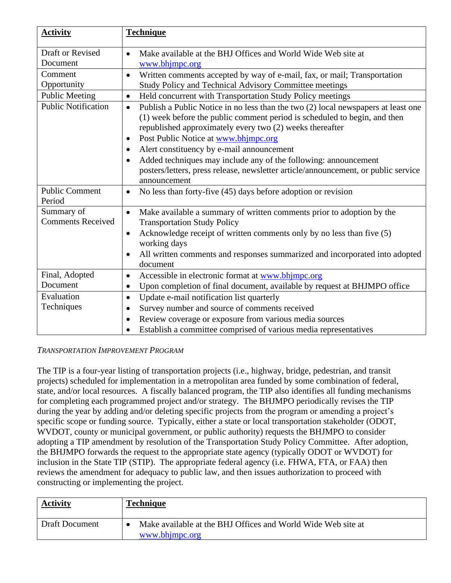| <b>Activity</b>                        | <b>Technique</b>                                                                                                                                                                                                                                                                             |
|----------------------------------------|----------------------------------------------------------------------------------------------------------------------------------------------------------------------------------------------------------------------------------------------------------------------------------------------|
| Draft or Revised                       | Make available at the BHJ Offices and World Wide Web site at<br>$\bullet$                                                                                                                                                                                                                    |
| Document                               | www.bhjmpc.org                                                                                                                                                                                                                                                                               |
| Comment                                | Written comments accepted by way of e-mail, fax, or mail; Transportation<br>$\bullet$                                                                                                                                                                                                        |
| Opportunity                            | Study Policy and Technical Advisory Committee meetings                                                                                                                                                                                                                                       |
| <b>Public Meeting</b>                  | Held concurrent with Transportation Study Policy meetings<br>$\bullet$                                                                                                                                                                                                                       |
| <b>Public Notification</b>             | Publish a Public Notice in no less than the two (2) local newspapers at least one<br>$\bullet$<br>(1) week before the public comment period is scheduled to begin, and then<br>republished approximately every two (2) weeks thereafter<br>Post Public Notice at www.bhjmpc.org<br>$\bullet$ |
|                                        | Alert constituency by e-mail announcement<br>$\bullet$<br>Added techniques may include any of the following: announcement                                                                                                                                                                    |
|                                        | $\bullet$<br>posters/letters, press release, newsletter article/announcement, or public service<br>announcement                                                                                                                                                                              |
| <b>Public Comment</b><br>Period        | No less than forty-five (45) days before adoption or revision<br>$\bullet$                                                                                                                                                                                                                   |
| Summary of<br><b>Comments Received</b> | Make available a summary of written comments prior to adoption by the<br>$\bullet$<br><b>Transportation Study Policy</b>                                                                                                                                                                     |
|                                        | Acknowledge receipt of written comments only by no less than five (5)<br>$\bullet$<br>working days                                                                                                                                                                                           |
|                                        | All written comments and responses summarized and incorporated into adopted<br>document                                                                                                                                                                                                      |
| Final, Adopted                         | Accessible in electronic format at www.bhjmpc.org<br>$\bullet$                                                                                                                                                                                                                               |
| Document                               | Upon completion of final document, available by request at BHJMPO office<br>٠                                                                                                                                                                                                                |
| Evaluation                             | Update e-mail notification list quarterly<br>$\bullet$                                                                                                                                                                                                                                       |
| Techniques                             | Survey number and source of comments received<br>$\bullet$                                                                                                                                                                                                                                   |
|                                        | Review coverage or exposure from various media sources<br>$\bullet$                                                                                                                                                                                                                          |
|                                        | Establish a committee comprised of various media representatives                                                                                                                                                                                                                             |

#### *TRANSPORTATION IMPROVEMENT PROGRAM*

The TIP is a four-year listing of transportation projects (i.e., highway, bridge, pedestrian, and transit projects) scheduled for implementation in a metropolitan area funded by some combination of federal, state, and/or local resources. A fiscally balanced program, the TIP also identifies all funding mechanisms for completing each programmed project and/or strategy. The BHJMPO periodically revises the TIP during the year by adding and/or deleting specific projects from the program or amending a project's specific scope or funding source. Typically, either a state or local transportation stakeholder (ODOT, WVDOT, county or municipal government, or public authority) requests the BHJMPO to consider adopting a TIP amendment by resolution of the Transportation Study Policy Committee. After adoption, the BHJMPO forwards the request to the appropriate state agency (typically ODOT or WVDOT) for inclusion in the State TIP (STIP). The appropriate federal agency (i.e. FHWA, FTA, or FAA) then reviews the amendment for adequacy to public law, and then issues authorization to proceed with constructing or implementing the project.

| <b>Activity</b>       | <b>Technique</b>                                                               |
|-----------------------|--------------------------------------------------------------------------------|
| <b>Draft Document</b> | Make available at the BHJ Offices and World Wide Web site at<br>www.bhjmpc.org |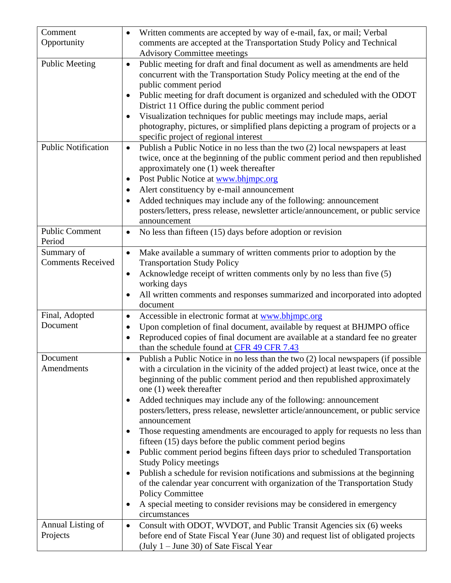| Comment                         | Written comments are accepted by way of e-mail, fax, or mail; Verbal                                                                           |
|---------------------------------|------------------------------------------------------------------------------------------------------------------------------------------------|
| Opportunity                     | comments are accepted at the Transportation Study Policy and Technical                                                                         |
|                                 | <b>Advisory Committee meetings</b>                                                                                                             |
| <b>Public Meeting</b>           | Public meeting for draft and final document as well as amendments are held<br>$\bullet$                                                        |
|                                 | concurrent with the Transportation Study Policy meeting at the end of the                                                                      |
|                                 | public comment period                                                                                                                          |
|                                 | Public meeting for draft document is organized and scheduled with the ODOT<br>$\bullet$<br>District 11 Office during the public comment period |
|                                 | Visualization techniques for public meetings may include maps, aerial<br>$\bullet$                                                             |
|                                 | photography, pictures, or simplified plans depicting a program of projects or a<br>specific project of regional interest                       |
| <b>Public Notification</b>      | Publish a Public Notice in no less than the two (2) local newspapers at least<br>$\bullet$                                                     |
|                                 | twice, once at the beginning of the public comment period and then republished                                                                 |
|                                 | approximately one (1) week thereafter                                                                                                          |
|                                 | Post Public Notice at www.bhjmpc.org<br>٠                                                                                                      |
|                                 | Alert constituency by e-mail announcement                                                                                                      |
|                                 | Added techniques may include any of the following: announcement<br>$\bullet$                                                                   |
|                                 | posters/letters, press release, newsletter article/announcement, or public service                                                             |
|                                 | announcement                                                                                                                                   |
| <b>Public Comment</b><br>Period | No less than fifteen (15) days before adoption or revision<br>$\bullet$                                                                        |
| Summary of                      | Make available a summary of written comments prior to adoption by the<br>$\bullet$                                                             |
| <b>Comments Received</b>        | <b>Transportation Study Policy</b>                                                                                                             |
|                                 | Acknowledge receipt of written comments only by no less than five (5)<br>٠                                                                     |
|                                 | working days                                                                                                                                   |
|                                 | All written comments and responses summarized and incorporated into adopted                                                                    |
|                                 | document                                                                                                                                       |
| Final, Adopted                  | Accessible in electronic format at www.bhjmpc.org<br>$\bullet$                                                                                 |
| Document                        | Upon completion of final document, available by request at BHJMPO office<br>٠                                                                  |
|                                 | Reproduced copies of final document are available at a standard fee no greater<br>$\bullet$                                                    |
|                                 | than the schedule found at CFR 49 CFR 7.43                                                                                                     |
| Document                        | Publish a Public Notice in no less than the two (2) local newspapers (if possible                                                              |
| Amendments                      | with a circulation in the vicinity of the added project) at least twice, once at the                                                           |
|                                 | beginning of the public comment period and then republished approximately                                                                      |
|                                 | one (1) week thereafter                                                                                                                        |
|                                 | Added techniques may include any of the following: announcement<br>$\bullet$                                                                   |
|                                 | posters/letters, press release, newsletter article/announcement, or public service<br>announcement                                             |
|                                 | Those requesting amendments are encouraged to apply for requests no less than                                                                  |
|                                 | ٠<br>fifteen (15) days before the public comment period begins                                                                                 |
|                                 | Public comment period begins fifteen days prior to scheduled Transportation<br>٠                                                               |
|                                 | <b>Study Policy meetings</b>                                                                                                                   |
|                                 | Publish a schedule for revision notifications and submissions at the beginning<br>٠                                                            |
|                                 | of the calendar year concurrent with organization of the Transportation Study                                                                  |
|                                 | <b>Policy Committee</b>                                                                                                                        |
|                                 | A special meeting to consider revisions may be considered in emergency<br>٠                                                                    |
|                                 | circumstances                                                                                                                                  |
| Annual Listing of               | Consult with ODOT, WVDOT, and Public Transit Agencies six (6) weeks<br>$\bullet$                                                               |
| Projects                        | before end of State Fiscal Year (June 30) and request list of obligated projects                                                               |
|                                 | (July $1 -$ June 30) of Sate Fiscal Year                                                                                                       |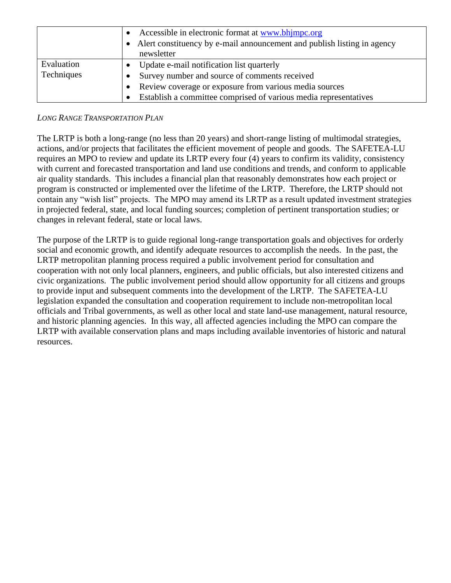|                          | Accessible in electronic format at www.bhimpc.org<br>A lert constituency by e-mail announcement and publish listing in agency |
|--------------------------|-------------------------------------------------------------------------------------------------------------------------------|
|                          | newsletter                                                                                                                    |
| Evaluation<br>Techniques | Update e-mail notification list quarterly                                                                                     |
|                          | Survey number and source of comments received                                                                                 |
|                          | Review coverage or exposure from various media sources                                                                        |
|                          | Establish a committee comprised of various media representatives                                                              |

#### *LONG RANGE TRANSPORTATION PLAN*

The LRTP is both a long-range (no less than 20 years) and short-range listing of multimodal strategies, actions, and/or projects that facilitates the efficient movement of people and goods. The SAFETEA-LU requires an MPO to review and update its LRTP every four (4) years to confirm its validity, consistency with current and forecasted transportation and land use conditions and trends, and conform to applicable air quality standards. This includes a financial plan that reasonably demonstrates how each project or program is constructed or implemented over the lifetime of the LRTP. Therefore, the LRTP should not contain any "wish list" projects. The MPO may amend its LRTP as a result updated investment strategies in projected federal, state, and local funding sources; completion of pertinent transportation studies; or changes in relevant federal, state or local laws.

The purpose of the LRTP is to guide regional long-range transportation goals and objectives for orderly social and economic growth, and identify adequate resources to accomplish the needs. In the past, the LRTP metropolitan planning process required a public involvement period for consultation and cooperation with not only local planners, engineers, and public officials, but also interested citizens and civic organizations. The public involvement period should allow opportunity for all citizens and groups to provide input and subsequent comments into the development of the LRTP. The SAFETEA-LU legislation expanded the consultation and cooperation requirement to include non-metropolitan local officials and Tribal governments, as well as other local and state land-use management, natural resource, and historic planning agencies. In this way, all affected agencies including the MPO can compare the LRTP with available conservation plans and maps including available inventories of historic and natural resources.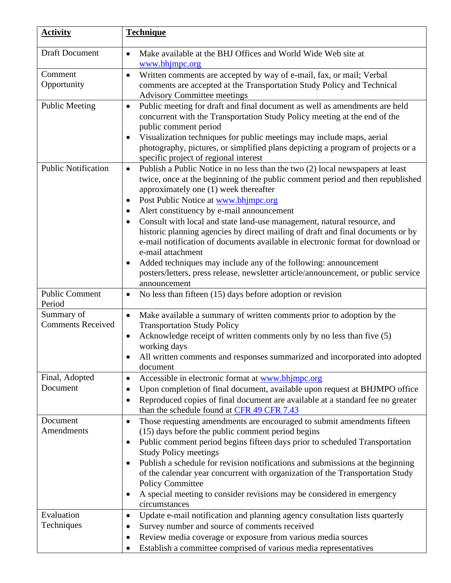| <b>Activity</b>                        | <b>Technique</b>                                                                                                                                                                                                                                                                                                                                                                                                                                                                                                                                                                         |
|----------------------------------------|------------------------------------------------------------------------------------------------------------------------------------------------------------------------------------------------------------------------------------------------------------------------------------------------------------------------------------------------------------------------------------------------------------------------------------------------------------------------------------------------------------------------------------------------------------------------------------------|
| <b>Draft Document</b>                  | Make available at the BHJ Offices and World Wide Web site at<br>$\bullet$<br>www.bhjmpc.org                                                                                                                                                                                                                                                                                                                                                                                                                                                                                              |
| Comment<br>Opportunity                 | Written comments are accepted by way of e-mail, fax, or mail; Verbal<br>$\bullet$<br>comments are accepted at the Transportation Study Policy and Technical<br><b>Advisory Committee meetings</b>                                                                                                                                                                                                                                                                                                                                                                                        |
| <b>Public Meeting</b>                  | Public meeting for draft and final document as well as amendments are held<br>$\bullet$<br>concurrent with the Transportation Study Policy meeting at the end of the<br>public comment period<br>Visualization techniques for public meetings may include maps, aerial<br>$\bullet$<br>photography, pictures, or simplified plans depicting a program of projects or a<br>specific project of regional interest                                                                                                                                                                          |
| <b>Public Notification</b>             | Publish a Public Notice in no less than the two (2) local newspapers at least<br>$\bullet$<br>twice, once at the beginning of the public comment period and then republished<br>approximately one (1) week thereafter<br>Post Public Notice at www.bhimpc.org<br>$\bullet$                                                                                                                                                                                                                                                                                                               |
|                                        | Alert constituency by e-mail announcement<br>$\bullet$<br>Consult with local and state land-use management, natural resource, and<br>$\bullet$<br>historic planning agencies by direct mailing of draft and final documents or by<br>e-mail notification of documents available in electronic format for download or<br>e-mail attachment<br>Added techniques may include any of the following: announcement<br>$\bullet$<br>posters/letters, press release, newsletter article/announcement, or public service<br>announcement                                                          |
| <b>Public Comment</b><br>Period        | No less than fifteen (15) days before adoption or revision<br>$\bullet$                                                                                                                                                                                                                                                                                                                                                                                                                                                                                                                  |
| Summary of<br><b>Comments Received</b> | Make available a summary of written comments prior to adoption by the<br>$\bullet$<br><b>Transportation Study Policy</b><br>Acknowledge receipt of written comments only by no less than five (5)<br>$\bullet$<br>working days<br>All written comments and responses summarized and incorporated into adopted<br>document                                                                                                                                                                                                                                                                |
| Final, Adopted<br>Document             | Accessible in electronic format at www.bhimpc.org<br>$\bullet$<br>Upon completion of final document, available upon request at BHJMPO office<br>$\bullet$<br>Reproduced copies of final document are available at a standard fee no greater<br>$\bullet$<br>than the schedule found at CFR 49 CFR 7.43                                                                                                                                                                                                                                                                                   |
| Document<br>Amendments                 | Those requesting amendments are encouraged to submit amendments fifteen<br>$\bullet$<br>(15) days before the public comment period begins<br>Public comment period begins fifteen days prior to scheduled Transportation<br>$\bullet$<br><b>Study Policy meetings</b><br>Publish a schedule for revision notifications and submissions at the beginning<br>$\bullet$<br>of the calendar year concurrent with organization of the Transportation Study<br><b>Policy Committee</b><br>A special meeting to consider revisions may be considered in emergency<br>$\bullet$<br>circumstances |
| Evaluation<br>Techniques               | Update e-mail notification and planning agency consultation lists quarterly<br>$\bullet$<br>Survey number and source of comments received<br>$\bullet$<br>Review media coverage or exposure from various media sources<br>$\bullet$<br>Establish a committee comprised of various media representatives                                                                                                                                                                                                                                                                                  |